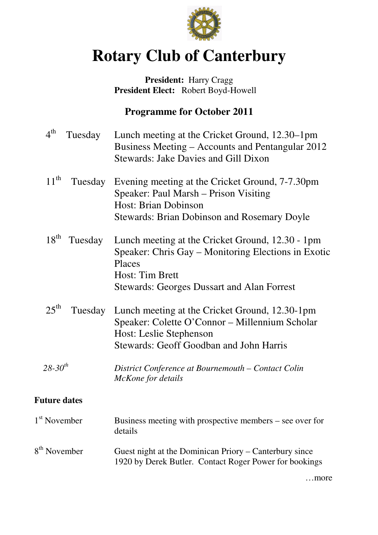

# **Rotary Club of Canterbury**

## **President:** Harry Cragg  **President Elect:** Robert Boyd-Howell

# **Programme for October 2011**

| $4^{\text{th}}$<br>Tuesday  | Lunch meeting at the Cricket Ground, 12.30–1pm<br>Business Meeting – Accounts and Pentangular 2012<br><b>Stewards: Jake Davies and Gill Dixon</b>                                                |
|-----------------------------|--------------------------------------------------------------------------------------------------------------------------------------------------------------------------------------------------|
| $11^{\text{th}}$<br>Tuesday | Evening meeting at the Cricket Ground, 7-7.30pm<br>Speaker: Paul Marsh – Prison Visiting<br><b>Host: Brian Dobinson</b><br><b>Stewards: Brian Dobinson and Rosemary Doyle</b>                    |
| $18^{\text{th}}$<br>Tuesday | Lunch meeting at the Cricket Ground, 12.30 - 1pm<br>Speaker: Chris Gay – Monitoring Elections in Exotic<br>Places<br><b>Host: Tim Brett</b><br><b>Stewards: Georges Dussart and Alan Forrest</b> |
| $25^{\text{th}}$            | Tuesday Lunch meeting at the Cricket Ground, 12.30-1pm<br>Speaker: Colette O'Connor - Millennium Scholar<br>Host: Leslie Stephenson<br><b>Stewards: Geoff Goodban and John Harris</b>            |
| $28 - 30^{th}$              | District Conference at Bournemouth – Contact Colin<br>McKone for details                                                                                                                         |
| <b>Future dates</b>         |                                                                                                                                                                                                  |
| 1 <sup>st</sup> November    | Business meeting with prospective members $-$ see over for<br>details                                                                                                                            |
| 8 <sup>th</sup> November    | Guest night at the Dominican Priory – Canterbury since<br>1920 by Derek Butler. Contact Roger Power for bookings                                                                                 |
|                             | …more                                                                                                                                                                                            |